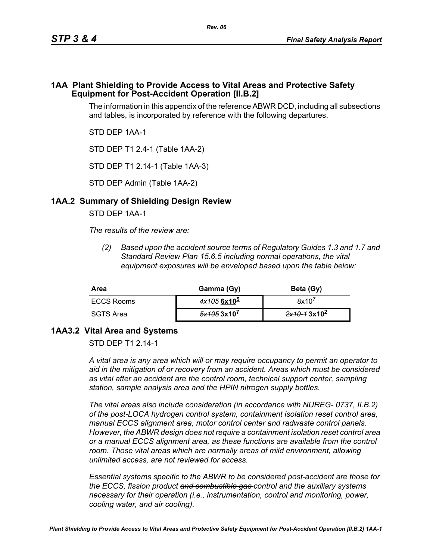#### **1AA Plant Shielding to Provide Access to Vital Areas and Protective Safety Equipment for Post-Accident Operation [II.B.2]**

The information in this appendix of the reference ABWR DCD, including all subsections and tables, is incorporated by reference with the following departures.

STD DEP 1AA-1

STD DEP T1 2.4-1 (Table 1AA-2)

STD DEP T1 2.14-1 (Table 1AA-3)

STD DEP Admin (Table 1AA-2)

## **1AA.2 Summary of Shielding Design Review**

STD DEP 1AA-1

*The results of the review are:*

*(2) Based upon the accident source terms of Regulatory Guides 1.3 and 1.7 and Standard Review Plan 15.6.5 including normal operations, the vital equipment exposures will be enveloped based upon the table below:*

| Area       | Gamma (Gy)    | Beta (Gy)               |
|------------|---------------|-------------------------|
| ECCS Rooms | $4x1056x10^5$ | 8x10'                   |
| SGTS Area  | 5x1053x10'    | 2x10-13x10 <sup>2</sup> |

## **1AA3.2 Vital Area and Systems**

STD DFP T1 2 14-1

*A vital area is any area which will or may require occupancy to permit an operator to aid in the mitigation of or recovery from an accident. Areas which must be considered as vital after an accident are the control room, technical support center, sampling station, sample analysis area and the HPIN nitrogen supply bottles.* 

*The vital areas also include consideration (in accordance with NUREG- 0737, II.B.2) of the post-LOCA hydrogen control system, containment isolation reset control area, manual ECCS alignment area, motor control center and radwaste control panels. However, the ABWR design does not require a containment isolation reset control area or a manual ECCS alignment area, as these functions are available from the control*  room. Those vital areas which are normally areas of mild environment, allowing *unlimited access, are not reviewed for access.* 

*Essential systems specific to the ABWR to be considered post-accident are those for the ECCS, fission product and combustible gas control and the auxiliary systems necessary for their operation (i.e., instrumentation, control and monitoring, power, cooling water, and air cooling).*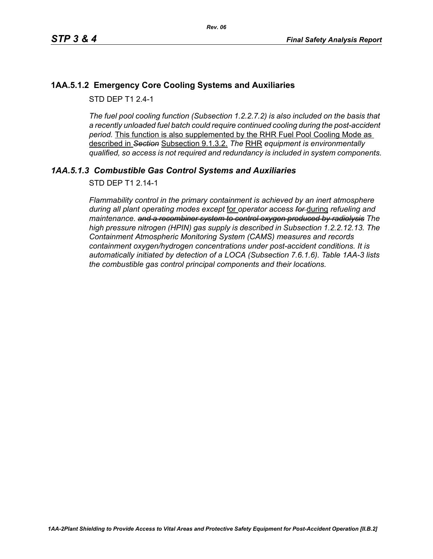## **1AA.5.1.2 Emergency Core Cooling Systems and Auxiliaries**

STD DFP T1 2 4-1

*The fuel pool cooling function (Subsection 1.2.2.7.2) is also included on the basis that a recently unloaded fuel batch could require continued cooling during the post-accident period.* This function is also supplemented by the RHR Fuel Pool Cooling Mode as described in *Section* Subsection 9.1.3.2. *The* RHR *equipment is environmentally qualified, so access is not required and redundancy is included in system components.*

# *1AA.5.1.3 Combustible Gas Control Systems and Auxiliaries*

STD DEP T1 2.14-1

*Flammability control in the primary containment is achieved by an inert atmosphere during all plant operating modes except* for *operator access for* during *refueling and maintenance. and a recombiner system to control oxygen produced by radiolysis The high pressure nitrogen (HPIN) gas supply is described in Subsection 1.2.2.12.13. The Containment Atmospheric Monitoring System (CAMS) measures and records containment oxygen/hydrogen concentrations under post-accident conditions. It is automatically initiated by detection of a LOCA (Subsection 7.6.1.6). Table 1AA-3 lists the combustible gas control principal components and their locations.*